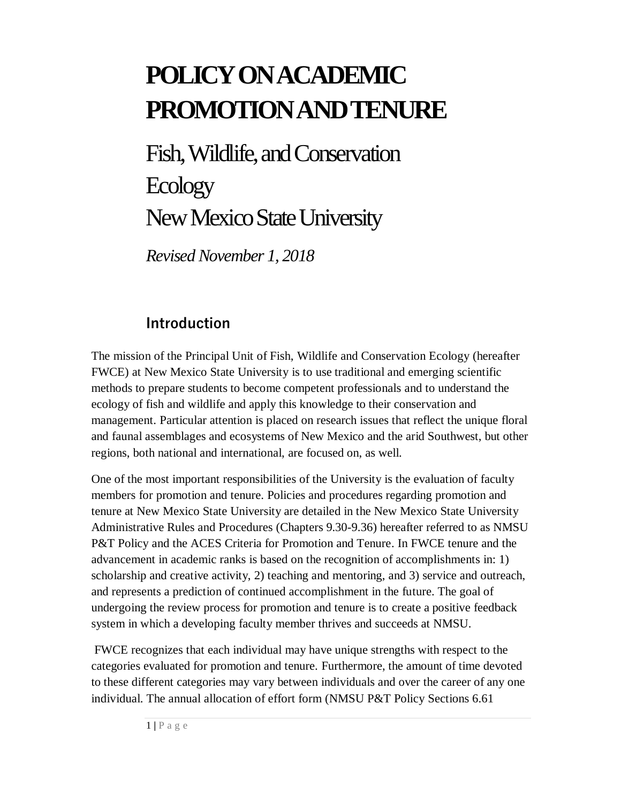# **POLICY ON ACADEMIC PROMOTION AND TENURE**

Fish, Wildlife, and Conservation **Ecology** New Mexico State University

*Revised November 1, 2018*

## **Introduction**

The mission of the Principal Unit of Fish, Wildlife and Conservation Ecology (hereafter FWCE) at New Mexico State University is to use traditional and emerging scientific methods to prepare students to become competent professionals and to understand the ecology of fish and wildlife and apply this knowledge to their conservation and management. Particular attention is placed on research issues that reflect the unique floral and faunal assemblages and ecosystems of New Mexico and the arid Southwest, but other regions, both national and international, are focused on, as well.

One of the most important responsibilities of the University is the evaluation of faculty members for promotion and tenure. Policies and procedures regarding promotion and tenure at New Mexico State University are detailed in the New Mexico State University Administrative Rules and Procedures (Chapters 9.30-9.36) hereafter referred to as NMSU P&T Policy and the ACES Criteria for Promotion and Tenure. In FWCE tenure and the advancement in academic ranks is based on the recognition of accomplishments in: 1) scholarship and creative activity, 2) teaching and mentoring, and 3) service and outreach, and represents a prediction of continued accomplishment in the future. The goal of undergoing the review process for promotion and tenure is to create a positive feedback system in which a developing faculty member thrives and succeeds at NMSU.

FWCE recognizes that each individual may have unique strengths with respect to the categories evaluated for promotion and tenure. Furthermore, the amount of time devoted to these different categories may vary between individuals and over the career of any one individual. The annual allocation of effort form (NMSU P&T Policy Sections 6.61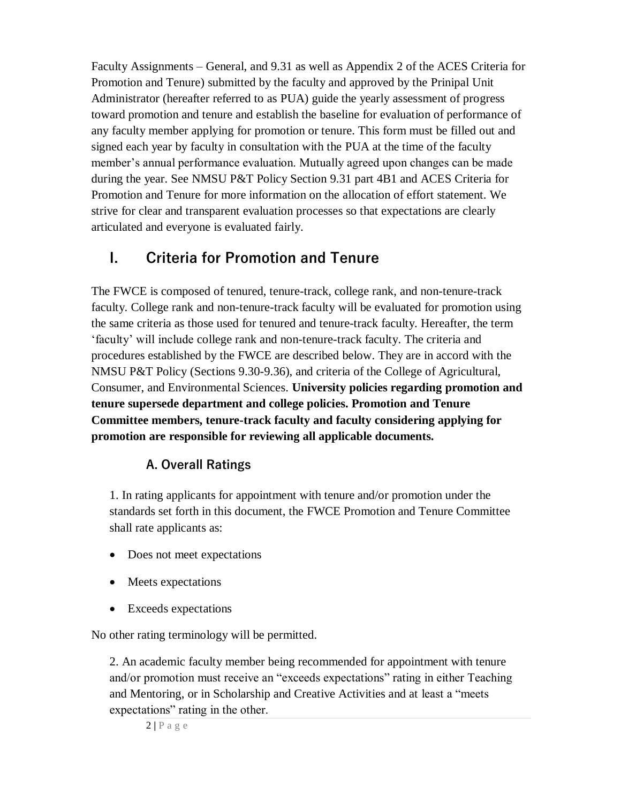Faculty Assignments – General, and 9.31 as well as Appendix 2 of the ACES Criteria for Promotion and Tenure) submitted by the faculty and approved by the Prinipal Unit Administrator (hereafter referred to as PUA) guide the yearly assessment of progress toward promotion and tenure and establish the baseline for evaluation of performance of any faculty member applying for promotion or tenure. This form must be filled out and signed each year by faculty in consultation with the PUA at the time of the faculty member's annual performance evaluation. Mutually agreed upon changes can be made during the year. See NMSU P&T Policy Section 9.31 part 4B1 and ACES Criteria for Promotion and Tenure for more information on the allocation of effort statement. We strive for clear and transparent evaluation processes so that expectations are clearly articulated and everyone is evaluated fairly.

## **I. Criteria for Promotion and Tenure**

The FWCE is composed of tenured, tenure-track, college rank, and non-tenure-track faculty. College rank and non-tenure-track faculty will be evaluated for promotion using the same criteria as those used for tenured and tenure-track faculty. Hereafter, the term 'faculty' will include college rank and non-tenure-track faculty. The criteria and procedures established by the FWCE are described below. They are in accord with the NMSU P&T Policy (Sections 9.30-9.36), and criteria of the College of Agricultural, Consumer, and Environmental Sciences. **University policies regarding promotion and tenure supersede department and college policies. Promotion and Tenure Committee members, tenure-track faculty and faculty considering applying for promotion are responsible for reviewing all applicable documents.**

#### **A. Overall Ratings**

1. In rating applicants for appointment with tenure and/or promotion under the standards set forth in this document, the FWCE Promotion and Tenure Committee shall rate applicants as:

- Does not meet expectations
- Meets expectations
- Exceeds expectations

No other rating terminology will be permitted.

2. An academic faculty member being recommended for appointment with tenure and/or promotion must receive an "exceeds expectations" rating in either Teaching and Mentoring, or in Scholarship and Creative Activities and at least a "meets expectations" rating in the other.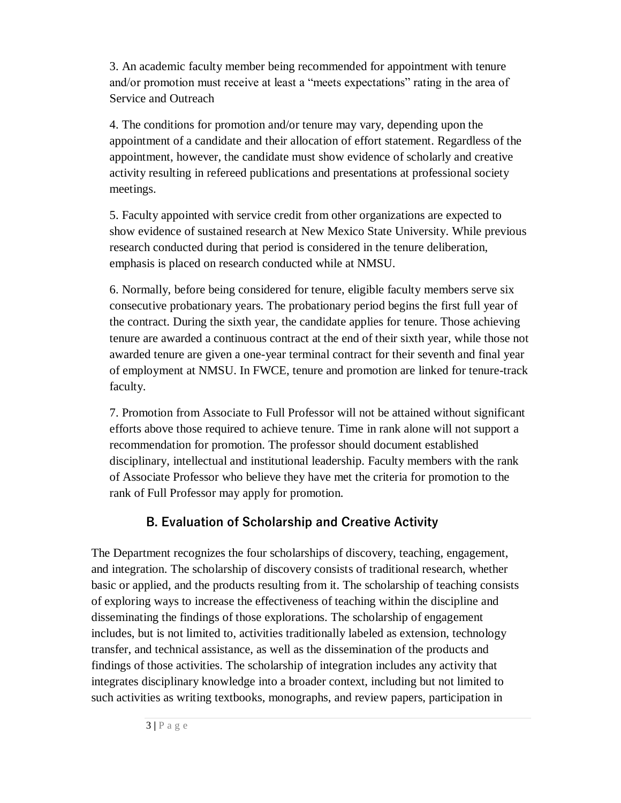3. An academic faculty member being recommended for appointment with tenure and/or promotion must receive at least a "meets expectations" rating in the area of Service and Outreach

4. The conditions for promotion and/or tenure may vary, depending upon the appointment of a candidate and their allocation of effort statement. Regardless of the appointment, however, the candidate must show evidence of scholarly and creative activity resulting in refereed publications and presentations at professional society meetings.

5. Faculty appointed with service credit from other organizations are expected to show evidence of sustained research at New Mexico State University. While previous research conducted during that period is considered in the tenure deliberation, emphasis is placed on research conducted while at NMSU.

6. Normally, before being considered for tenure, eligible faculty members serve six consecutive probationary years. The probationary period begins the first full year of the contract. During the sixth year, the candidate applies for tenure. Those achieving tenure are awarded a continuous contract at the end of their sixth year, while those not awarded tenure are given a one-year terminal contract for their seventh and final year of employment at NMSU. In FWCE, tenure and promotion are linked for tenure-track faculty.

7. Promotion from Associate to Full Professor will not be attained without significant efforts above those required to achieve tenure. Time in rank alone will not support a recommendation for promotion. The professor should document established disciplinary, intellectual and institutional leadership. Faculty members with the rank of Associate Professor who believe they have met the criteria for promotion to the rank of Full Professor may apply for promotion.

## **B. Evaluation of Scholarship and Creative Activity**

The Department recognizes the four scholarships of discovery, teaching, engagement, and integration. The scholarship of discovery consists of traditional research, whether basic or applied, and the products resulting from it. The scholarship of teaching consists of exploring ways to increase the effectiveness of teaching within the discipline and disseminating the findings of those explorations. The scholarship of engagement includes, but is not limited to, activities traditionally labeled as extension, technology transfer, and technical assistance, as well as the dissemination of the products and findings of those activities. The scholarship of integration includes any activity that integrates disciplinary knowledge into a broader context, including but not limited to such activities as writing textbooks, monographs, and review papers, participation in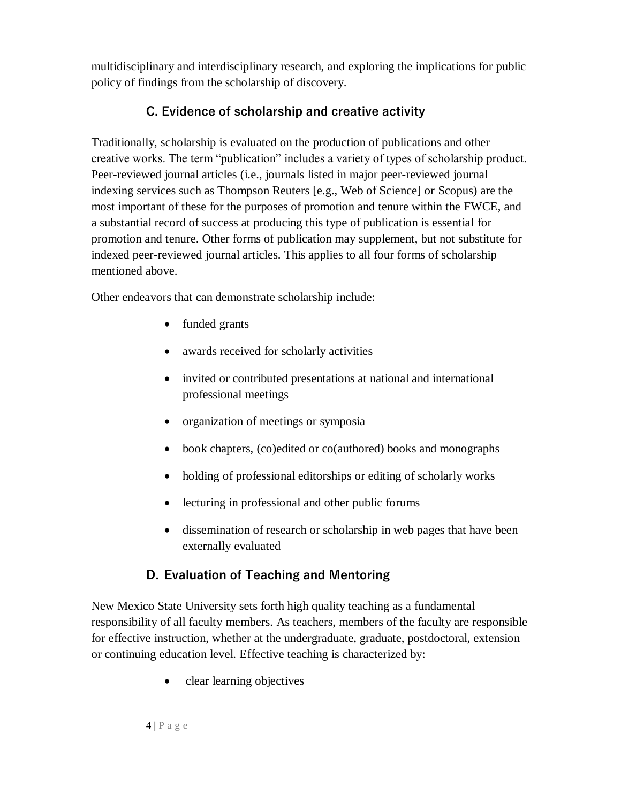multidisciplinary and interdisciplinary research, and exploring the implications for public policy of findings from the scholarship of discovery.

## **C. Evidence of scholarship and creative activity**

Traditionally, scholarship is evaluated on the production of publications and other creative works. The term "publication" includes a variety of types of scholarship product. Peer-reviewed journal articles (i.e., journals listed in major peer-reviewed journal indexing services such as Thompson Reuters [e.g., Web of Science] or Scopus) are the most important of these for the purposes of promotion and tenure within the FWCE, and a substantial record of success at producing this type of publication is essential for promotion and tenure. Other forms of publication may supplement, but not substitute for indexed peer-reviewed journal articles. This applies to all four forms of scholarship mentioned above.

Other endeavors that can demonstrate scholarship include:

- funded grants
- awards received for scholarly activities
- invited or contributed presentations at national and international professional meetings
- organization of meetings or symposia
- book chapters, (co)edited or co(authored) books and monographs
- holding of professional editorships or editing of scholarly works
- lecturing in professional and other public forums
- dissemination of research or scholarship in web pages that have been externally evaluated

## **D. Evaluation of Teaching and Mentoring**

New Mexico State University sets forth high quality teaching as a fundamental responsibility of all faculty members. As teachers, members of the faculty are responsible for effective instruction, whether at the undergraduate, graduate, postdoctoral, extension or continuing education level. Effective teaching is characterized by:

clear learning objectives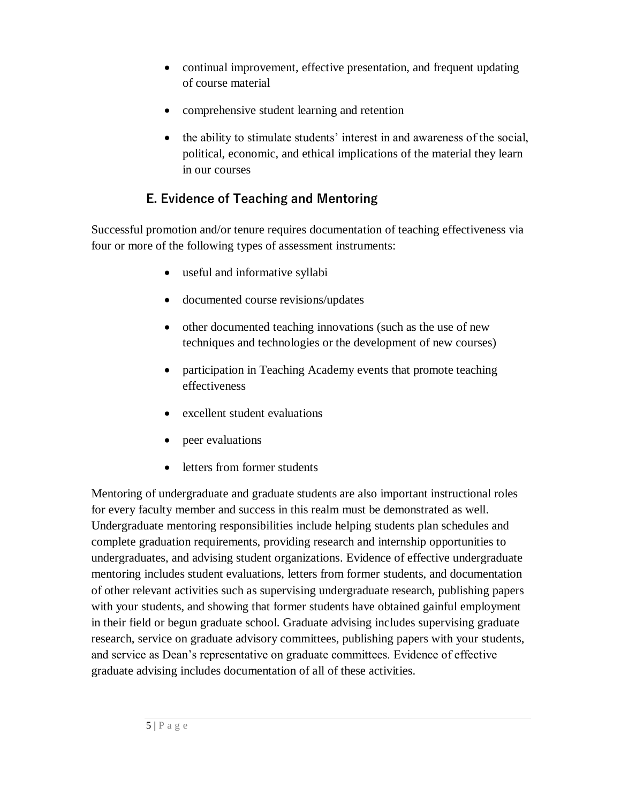- continual improvement, effective presentation, and frequent updating of course material
- comprehensive student learning and retention
- the ability to stimulate students' interest in and awareness of the social, political, economic, and ethical implications of the material they learn in our courses

## **E. Evidence of Teaching and Mentoring**

Successful promotion and/or tenure requires documentation of teaching effectiveness via four or more of the following types of assessment instruments:

- useful and informative syllabi
- documented course revisions/updates
- other documented teaching innovations (such as the use of new techniques and technologies or the development of new courses)
- participation in Teaching Academy events that promote teaching effectiveness
- excellent student evaluations
- peer evaluations
- letters from former students

Mentoring of undergraduate and graduate students are also important instructional roles for every faculty member and success in this realm must be demonstrated as well. Undergraduate mentoring responsibilities include helping students plan schedules and complete graduation requirements, providing research and internship opportunities to undergraduates, and advising student organizations. Evidence of effective undergraduate mentoring includes student evaluations, letters from former students, and documentation of other relevant activities such as supervising undergraduate research, publishing papers with your students, and showing that former students have obtained gainful employment in their field or begun graduate school. Graduate advising includes supervising graduate research, service on graduate advisory committees, publishing papers with your students, and service as Dean's representative on graduate committees. Evidence of effective graduate advising includes documentation of all of these activities.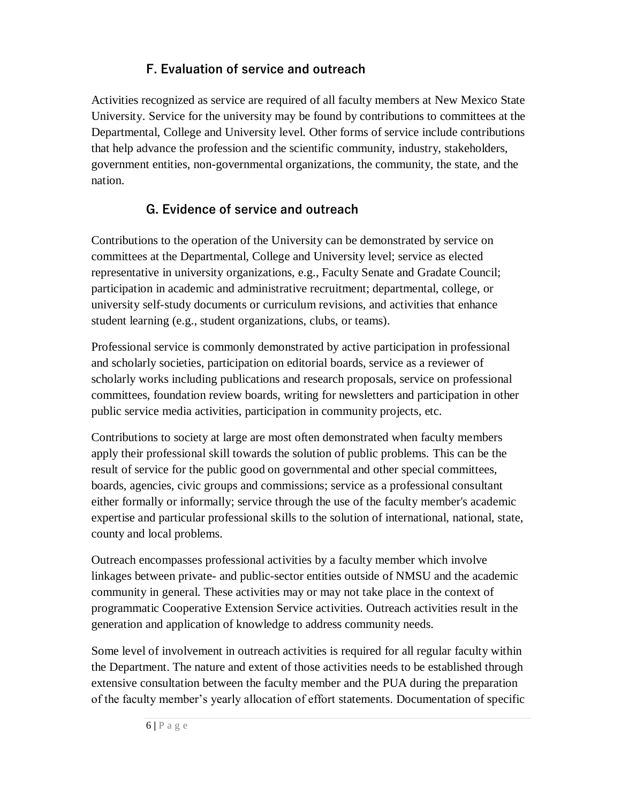## **F. Evaluation of service and outreach**

Activities recognized as service are required of all faculty members at New Mexico State University. Service for the university may be found by contributions to committees at the Departmental, College and University level. Other forms of service include contributions that help advance the profession and the scientific community, industry, stakeholders, government entities, non-governmental organizations, the community, the state, and the nation.

## **G. Evidence of service and outreach**

Contributions to the operation of the University can be demonstrated by service on committees at the Departmental, College and University level; service as elected representative in university organizations, e.g., Faculty Senate and Gradate Council; participation in academic and administrative recruitment; departmental, college, or university self-study documents or curriculum revisions, and activities that enhance student learning (e.g., student organizations, clubs, or teams).

Professional service is commonly demonstrated by active participation in professional and scholarly societies, participation on editorial boards, service as a reviewer of scholarly works including publications and research proposals, service on professional committees, foundation review boards, writing for newsletters and participation in other public service media activities, participation in community projects, etc.

Contributions to society at large are most often demonstrated when faculty members apply their professional skill towards the solution of public problems. This can be the result of service for the public good on governmental and other special committees, boards, agencies, civic groups and commissions; service as a professional consultant either formally or informally; service through the use of the faculty member's academic expertise and particular professional skills to the solution of international, national, state, county and local problems.

Outreach encompasses professional activities by a faculty member which involve linkages between private- and public-sector entities outside of NMSU and the academic community in general. These activities may or may not take place in the context of programmatic Cooperative Extension Service activities. Outreach activities result in the generation and application of knowledge to address community needs.

Some level of involvement in outreach activities is required for all regular faculty within the Department. The nature and extent of those activities needs to be established through extensive consultation between the faculty member and the PUA during the preparation of the faculty member's yearly allocation of effort statements. Documentation of specific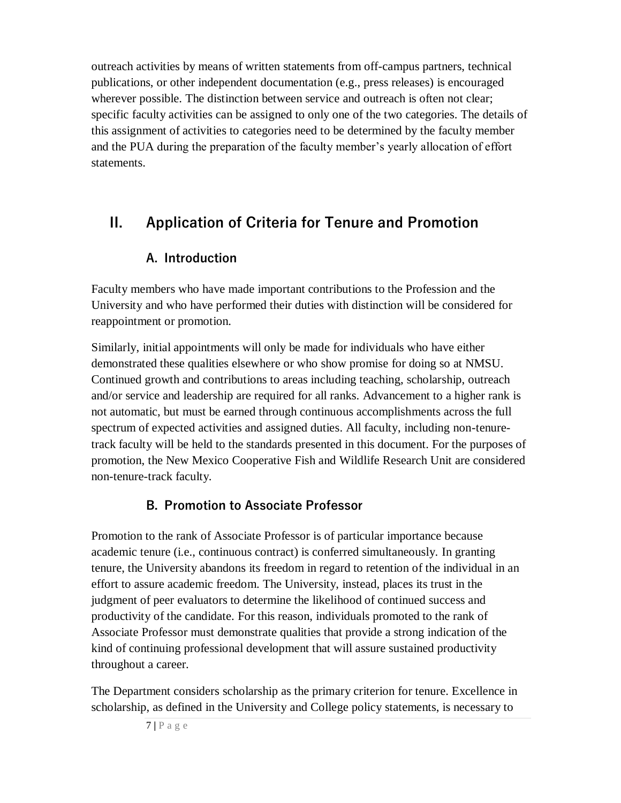outreach activities by means of written statements from off-campus partners, technical publications, or other independent documentation (e.g., press releases) is encouraged wherever possible. The distinction between service and outreach is often not clear; specific faculty activities can be assigned to only one of the two categories. The details of this assignment of activities to categories need to be determined by the faculty member and the PUA during the preparation of the faculty member's yearly allocation of effort statements.

## **II. Application of Criteria for Tenure and Promotion**

## **A. Introduction**

Faculty members who have made important contributions to the Profession and the University and who have performed their duties with distinction will be considered for reappointment or promotion.

Similarly, initial appointments will only be made for individuals who have either demonstrated these qualities elsewhere or who show promise for doing so at NMSU. Continued growth and contributions to areas including teaching, scholarship, outreach and/or service and leadership are required for all ranks. Advancement to a higher rank is not automatic, but must be earned through continuous accomplishments across the full spectrum of expected activities and assigned duties. All faculty, including non-tenuretrack faculty will be held to the standards presented in this document. For the purposes of promotion, the New Mexico Cooperative Fish and Wildlife Research Unit are considered non-tenure-track faculty.

## **B. Promotion to Associate Professor**

Promotion to the rank of Associate Professor is of particular importance because academic tenure (i.e., continuous contract) is conferred simultaneously. In granting tenure, the University abandons its freedom in regard to retention of the individual in an effort to assure academic freedom. The University, instead, places its trust in the judgment of peer evaluators to determine the likelihood of continued success and productivity of the candidate. For this reason, individuals promoted to the rank of Associate Professor must demonstrate qualities that provide a strong indication of the kind of continuing professional development that will assure sustained productivity throughout a career.

The Department considers scholarship as the primary criterion for tenure. Excellence in scholarship, as defined in the University and College policy statements, is necessary to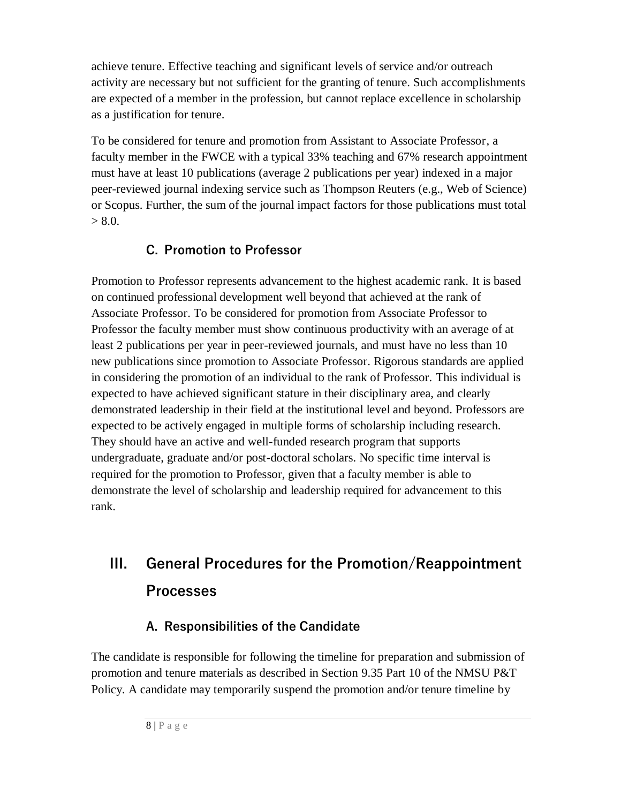achieve tenure. Effective teaching and significant levels of service and/or outreach activity are necessary but not sufficient for the granting of tenure. Such accomplishments are expected of a member in the profession, but cannot replace excellence in scholarship as a justification for tenure.

To be considered for tenure and promotion from Assistant to Associate Professor, a faculty member in the FWCE with a typical 33% teaching and 67% research appointment must have at least 10 publications (average 2 publications per year) indexed in a major peer-reviewed journal indexing service such as Thompson Reuters (e.g., Web of Science) or Scopus. Further, the sum of the journal impact factors for those publications must total  $> 8.0.$ 

## **C. Promotion to Professor**

Promotion to Professor represents advancement to the highest academic rank. It is based on continued professional development well beyond that achieved at the rank of Associate Professor. To be considered for promotion from Associate Professor to Professor the faculty member must show continuous productivity with an average of at least 2 publications per year in peer-reviewed journals, and must have no less than 10 new publications since promotion to Associate Professor. Rigorous standards are applied in considering the promotion of an individual to the rank of Professor. This individual is expected to have achieved significant stature in their disciplinary area, and clearly demonstrated leadership in their field at the institutional level and beyond. Professors are expected to be actively engaged in multiple forms of scholarship including research. They should have an active and well-funded research program that supports undergraduate, graduate and/or post-doctoral scholars. No specific time interval is required for the promotion to Professor, given that a faculty member is able to demonstrate the level of scholarship and leadership required for advancement to this rank.

## **III. General Procedures for the Promotion/Reappointment Processes**

## **A. Responsibilities of the Candidate**

The candidate is responsible for following the timeline for preparation and submission of promotion and tenure materials as described in Section 9.35 Part 10 of the NMSU P&T Policy. A candidate may temporarily suspend the promotion and/or tenure timeline by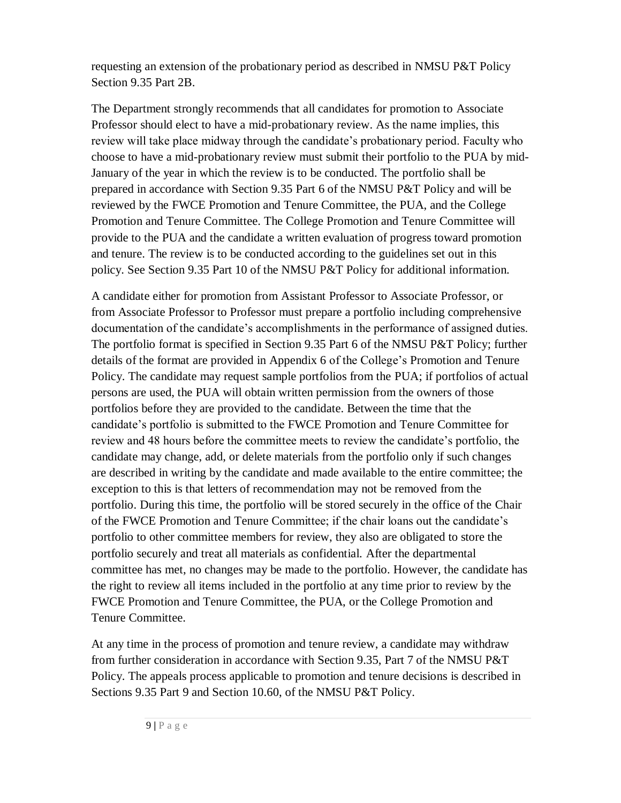requesting an extension of the probationary period as described in NMSU P&T Policy Section 9.35 Part 2B.

The Department strongly recommends that all candidates for promotion to Associate Professor should elect to have a mid-probationary review. As the name implies, this review will take place midway through the candidate's probationary period. Faculty who choose to have a mid-probationary review must submit their portfolio to the PUA by mid-January of the year in which the review is to be conducted. The portfolio shall be prepared in accordance with Section 9.35 Part 6 of the NMSU P&T Policy and will be reviewed by the FWCE Promotion and Tenure Committee, the PUA, and the College Promotion and Tenure Committee. The College Promotion and Tenure Committee will provide to the PUA and the candidate a written evaluation of progress toward promotion and tenure. The review is to be conducted according to the guidelines set out in this policy. See Section 9.35 Part 10 of the NMSU P&T Policy for additional information.

A candidate either for promotion from Assistant Professor to Associate Professor, or from Associate Professor to Professor must prepare a portfolio including comprehensive documentation of the candidate's accomplishments in the performance of assigned duties. The portfolio format is specified in Section 9.35 Part 6 of the NMSU P&T Policy; further details of the format are provided in Appendix 6 of the College's Promotion and Tenure Policy. The candidate may request sample portfolios from the PUA; if portfolios of actual persons are used, the PUA will obtain written permission from the owners of those portfolios before they are provided to the candidate. Between the time that the candidate's portfolio is submitted to the FWCE Promotion and Tenure Committee for review and 48 hours before the committee meets to review the candidate's portfolio, the candidate may change, add, or delete materials from the portfolio only if such changes are described in writing by the candidate and made available to the entire committee; the exception to this is that letters of recommendation may not be removed from the portfolio. During this time, the portfolio will be stored securely in the office of the Chair of the FWCE Promotion and Tenure Committee; if the chair loans out the candidate's portfolio to other committee members for review, they also are obligated to store the portfolio securely and treat all materials as confidential. After the departmental committee has met, no changes may be made to the portfolio. However, the candidate has the right to review all items included in the portfolio at any time prior to review by the FWCE Promotion and Tenure Committee, the PUA, or the College Promotion and Tenure Committee.

At any time in the process of promotion and tenure review, a candidate may withdraw from further consideration in accordance with Section 9.35, Part 7 of the NMSU P&T Policy. The appeals process applicable to promotion and tenure decisions is described in Sections 9.35 Part 9 and Section 10.60, of the NMSU P&T Policy.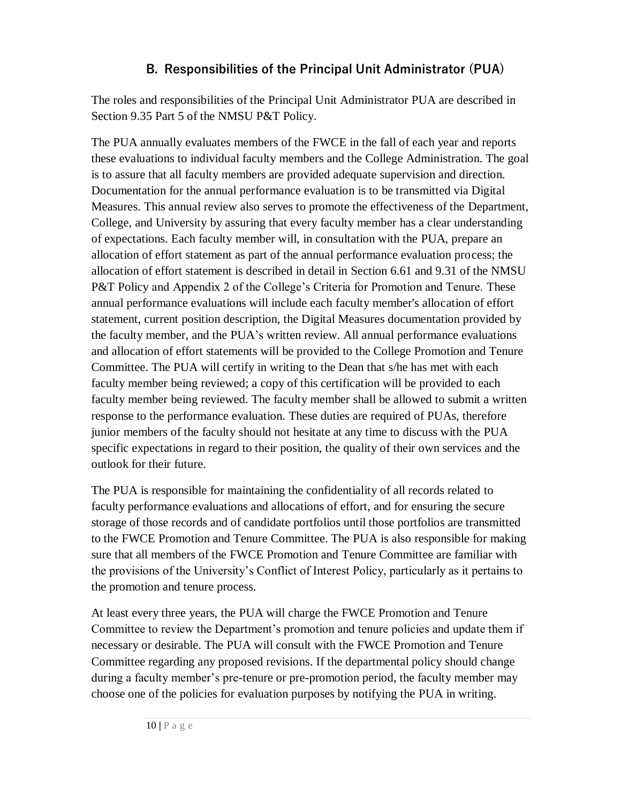## **B. Responsibilities of the Principal Unit Administrator (PUA)**

The roles and responsibilities of the Principal Unit Administrator PUA are described in Section 9.35 Part 5 of the NMSU P&T Policy.

The PUA annually evaluates members of the FWCE in the fall of each year and reports these evaluations to individual faculty members and the College Administration. The goal is to assure that all faculty members are provided adequate supervision and direction. Documentation for the annual performance evaluation is to be transmitted via Digital Measures. This annual review also serves to promote the effectiveness of the Department, College, and University by assuring that every faculty member has a clear understanding of expectations. Each faculty member will, in consultation with the PUA, prepare an allocation of effort statement as part of the annual performance evaluation process; the allocation of effort statement is described in detail in Section 6.61 and 9.31 of the NMSU P&T Policy and Appendix 2 of the College's Criteria for Promotion and Tenure. These annual performance evaluations will include each faculty member's allocation of effort statement, current position description, the Digital Measures documentation provided by the faculty member, and the PUA's written review. All annual performance evaluations and allocation of effort statements will be provided to the College Promotion and Tenure Committee. The PUA will certify in writing to the Dean that s/he has met with each faculty member being reviewed; a copy of this certification will be provided to each faculty member being reviewed. The faculty member shall be allowed to submit a written response to the performance evaluation. These duties are required of PUAs, therefore junior members of the faculty should not hesitate at any time to discuss with the PUA specific expectations in regard to their position, the quality of their own services and the outlook for their future.

The PUA is responsible for maintaining the confidentiality of all records related to faculty performance evaluations and allocations of effort, and for ensuring the secure storage of those records and of candidate portfolios until those portfolios are transmitted to the FWCE Promotion and Tenure Committee. The PUA is also responsible for making sure that all members of the FWCE Promotion and Tenure Committee are familiar with the provisions of the University's Conflict of Interest Policy, particularly as it pertains to the promotion and tenure process.

At least every three years, the PUA will charge the FWCE Promotion and Tenure Committee to review the Department's promotion and tenure policies and update them if necessary or desirable. The PUA will consult with the FWCE Promotion and Tenure Committee regarding any proposed revisions. If the departmental policy should change during a faculty member's pre-tenure or pre-promotion period, the faculty member may choose one of the policies for evaluation purposes by notifying the PUA in writing.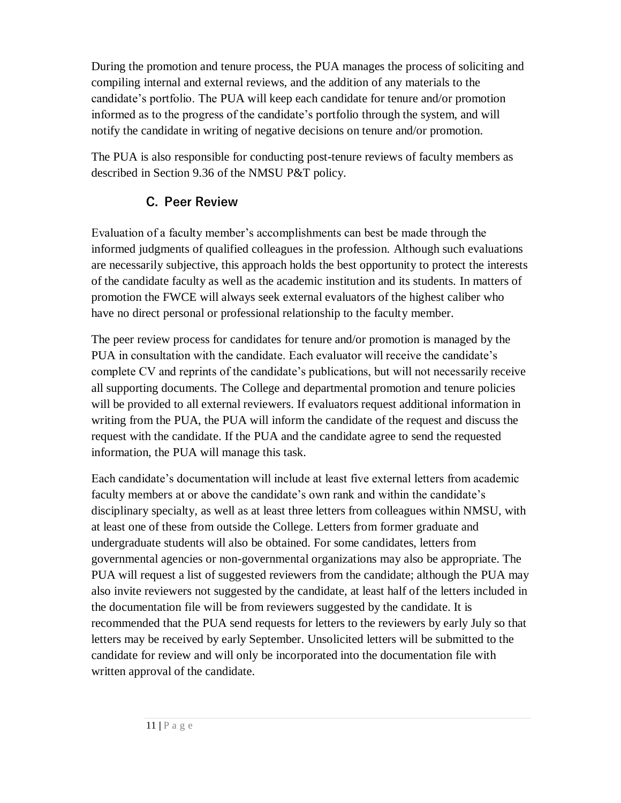During the promotion and tenure process, the PUA manages the process of soliciting and compiling internal and external reviews, and the addition of any materials to the candidate's portfolio. The PUA will keep each candidate for tenure and/or promotion informed as to the progress of the candidate's portfolio through the system, and will notify the candidate in writing of negative decisions on tenure and/or promotion.

The PUA is also responsible for conducting post-tenure reviews of faculty members as described in Section 9.36 of the NMSU P&T policy.

## **C. Peer Review**

Evaluation of a faculty member's accomplishments can best be made through the informed judgments of qualified colleagues in the profession. Although such evaluations are necessarily subjective, this approach holds the best opportunity to protect the interests of the candidate faculty as well as the academic institution and its students. In matters of promotion the FWCE will always seek external evaluators of the highest caliber who have no direct personal or professional relationship to the faculty member.

The peer review process for candidates for tenure and/or promotion is managed by the PUA in consultation with the candidate. Each evaluator will receive the candidate's complete CV and reprints of the candidate's publications, but will not necessarily receive all supporting documents. The College and departmental promotion and tenure policies will be provided to all external reviewers. If evaluators request additional information in writing from the PUA, the PUA will inform the candidate of the request and discuss the request with the candidate. If the PUA and the candidate agree to send the requested information, the PUA will manage this task.

Each candidate's documentation will include at least five external letters from academic faculty members at or above the candidate's own rank and within the candidate's disciplinary specialty, as well as at least three letters from colleagues within NMSU, with at least one of these from outside the College. Letters from former graduate and undergraduate students will also be obtained. For some candidates, letters from governmental agencies or non-governmental organizations may also be appropriate. The PUA will request a list of suggested reviewers from the candidate; although the PUA may also invite reviewers not suggested by the candidate, at least half of the letters included in the documentation file will be from reviewers suggested by the candidate. It is recommended that the PUA send requests for letters to the reviewers by early July so that letters may be received by early September. Unsolicited letters will be submitted to the candidate for review and will only be incorporated into the documentation file with written approval of the candidate.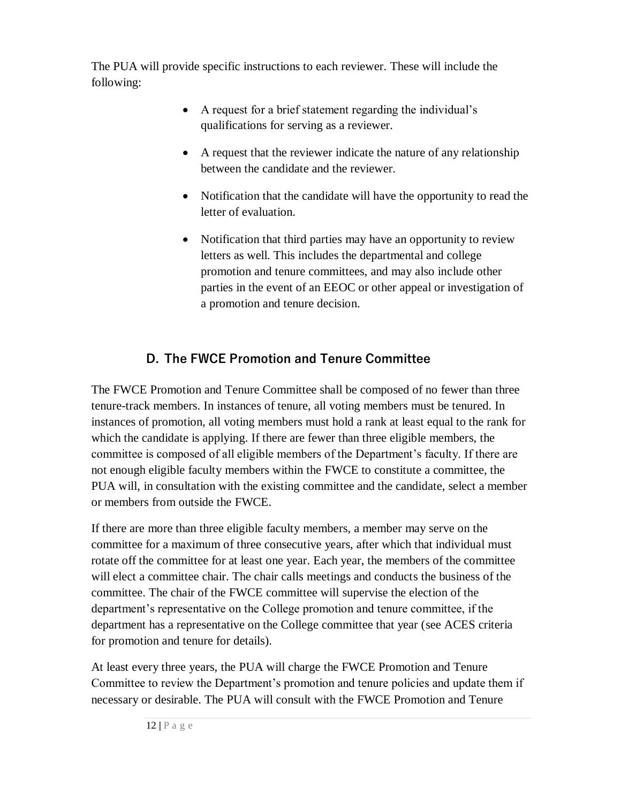The PUA will provide specific instructions to each reviewer. These will include the following:

- A request for a brief statement regarding the individual's qualifications for serving as a reviewer.
- A request that the reviewer indicate the nature of any relationship between the candidate and the reviewer.
- Notification that the candidate will have the opportunity to read the letter of evaluation.
- Notification that third parties may have an opportunity to review letters as well. This includes the departmental and college promotion and tenure committees, and may also include other parties in the event of an EEOC or other appeal or investigation of a promotion and tenure decision.

## **D. The FWCE Promotion and Tenure Committee**

The FWCE Promotion and Tenure Committee shall be composed of no fewer than three tenure-track members. In instances of tenure, all voting members must be tenured. In instances of promotion, all voting members must hold a rank at least equal to the rank for which the candidate is applying. If there are fewer than three eligible members, the committee is composed of all eligible members of the Department's faculty. If there are not enough eligible faculty members within the FWCE to constitute a committee, the PUA will, in consultation with the existing committee and the candidate, select a member or members from outside the FWCE.

If there are more than three eligible faculty members, a member may serve on the committee for a maximum of three consecutive years, after which that individual must rotate off the committee for at least one year. Each year, the members of the committee will elect a committee chair. The chair calls meetings and conducts the business of the committee. The chair of the FWCE committee will supervise the election of the department's representative on the College promotion and tenure committee, if the department has a representative on the College committee that year (see ACES criteria for promotion and tenure for details).

At least every three years, the PUA will charge the FWCE Promotion and Tenure Committee to review the Department's promotion and tenure policies and update them if necessary or desirable. The PUA will consult with the FWCE Promotion and Tenure